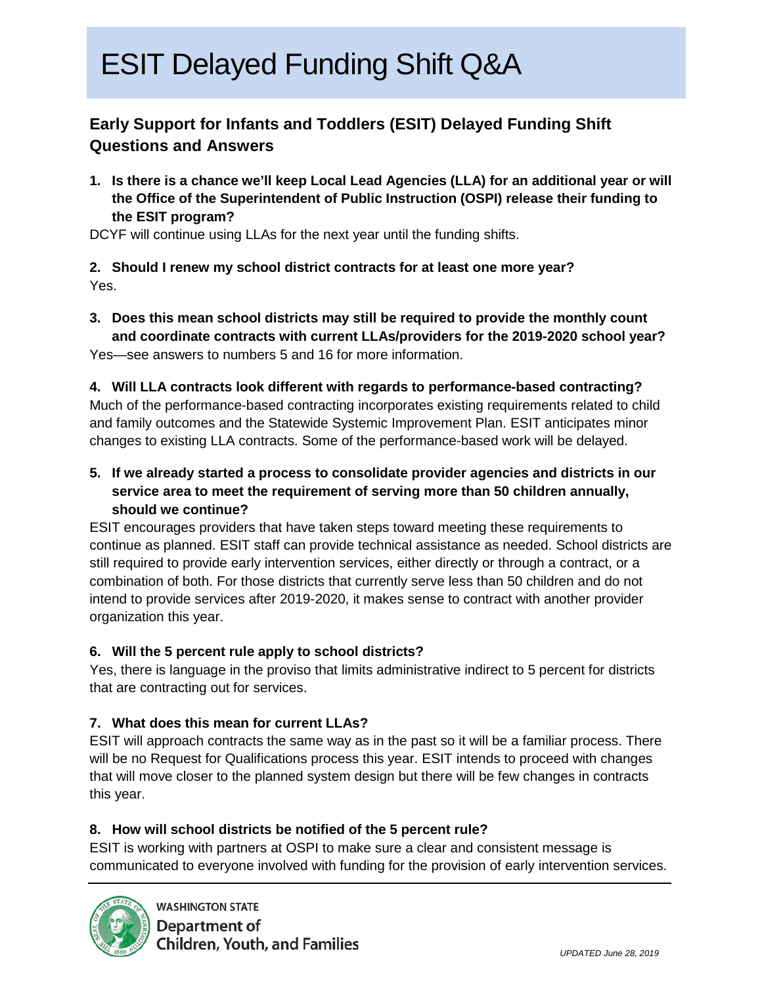## **Early Support for Infants and Toddlers (ESIT) Delayed Funding Shift Questions and Answers**

**1. Is there is a chance we'll keep Local Lead Agencies (LLA) for an additional year or will the Office of the Superintendent of Public Instruction (OSPI) release their funding to the ESIT program?**

DCYF will continue using LLAs for the next year until the funding shifts.

## **2. Should I renew my school district contracts for at least one more year?** Yes.

**3. Does this mean school districts may still be required to provide the monthly count and coordinate contracts with current LLAs/providers for the 2019-2020 school year?**

Yes—see answers to numbers 5 and 16 for more information.

### **4. Will LLA contracts look different with regards to performance-based contracting?**

Much of the performance-based contracting incorporates existing requirements related to child and family outcomes and the Statewide Systemic Improvement Plan. ESIT anticipates minor changes to existing LLA contracts. Some of the performance-based work will be delayed.

**5. If we already started a process to consolidate provider agencies and districts in our service area to meet the requirement of serving more than 50 children annually, should we continue?**

ESIT encourages providers that have taken steps toward meeting these requirements to continue as planned. ESIT staff can provide technical assistance as needed. School districts are still required to provide early intervention services, either directly or through a contract, or a combination of both. For those districts that currently serve less than 50 children and do not intend to provide services after 2019-2020, it makes sense to contract with another provider organization this year.

## **6. Will the 5 percent rule apply to school districts?**

Yes, there is language in the proviso that limits administrative indirect to 5 percent for districts that are contracting out for services.

## **7. What does this mean for current LLAs?**

ESIT will approach contracts the same way as in the past so it will be a familiar process. There will be no Request for Qualifications process this year. ESIT intends to proceed with changes that will move closer to the planned system design but there will be few changes in contracts this year.

## **8. How will school districts be notified of the 5 percent rule?**

ESIT is working with partners at OSPI to make sure a clear and consistent message is communicated to everyone involved with funding for the provision of early intervention services.

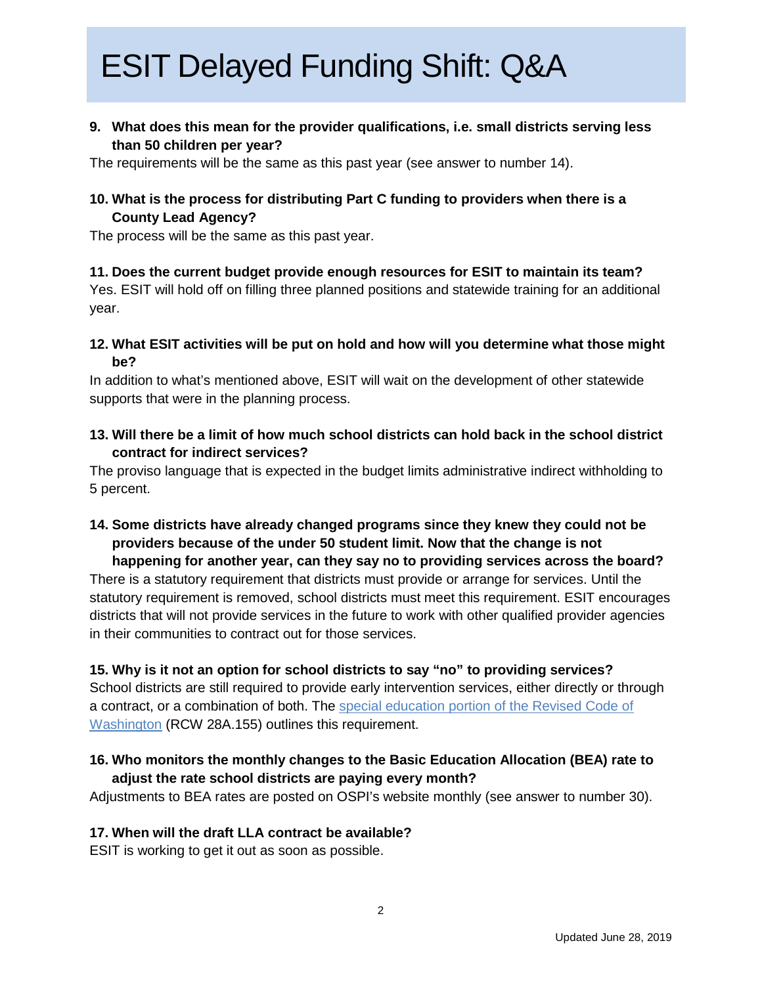**9. What does this mean for the provider qualifications, i.e. small districts serving less than 50 children per year?** 

The requirements will be the same as this past year (see answer to number 14).

### **10. What is the process for distributing Part C funding to providers when there is a County Lead Agency?**

The process will be the same as this past year.

## **11. Does the current budget provide enough resources for ESIT to maintain its team?**

Yes. ESIT will hold off on filling three planned positions and statewide training for an additional year.

**12. What ESIT activities will be put on hold and how will you determine what those might be?**

In addition to what's mentioned above, ESIT will wait on the development of other statewide supports that were in the planning process.

**13. Will there be a limit of how much school districts can hold back in the school district contract for indirect services?**

The proviso language that is expected in the budget limits administrative indirect withholding to 5 percent.

**14. Some districts have already changed programs since they knew they could not be providers because of the under 50 student limit. Now that the change is not happening for another year, can they say no to providing services across the board?**

There is a statutory requirement that districts must provide or arrange for services. Until the statutory requirement is removed, school districts must meet this requirement. ESIT encourages districts that will not provide services in the future to work with other qualified provider agencies in their communities to contract out for those services.

#### **15. Why is it not an option for school districts to say "no" to providing services?**

School districts are still required to provide early intervention services, either directly or through a contract, or a combination of both. The [special education portion of the Revised Code of](https://app.leg.wa.gov/rcw/default.aspx?cite=28a.155&full=true)  [Washington](https://app.leg.wa.gov/rcw/default.aspx?cite=28a.155&full=true) (RCW 28A.155) outlines this requirement.

## **16. Who monitors the monthly changes to the Basic Education Allocation (BEA) rate to adjust the rate school districts are paying every month?**

Adjustments to BEA rates are posted on OSPI's website monthly (see answer to number 30).

#### **17. When will the draft LLA contract be available?**

ESIT is working to get it out as soon as possible.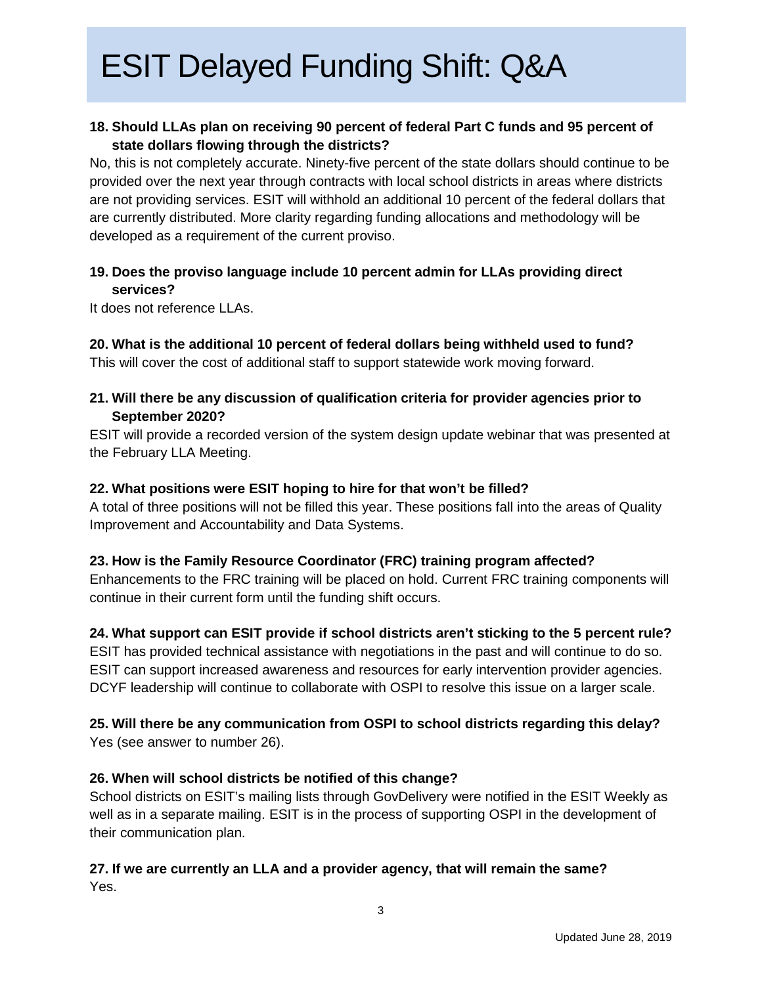## **18. Should LLAs plan on receiving 90 percent of federal Part C funds and 95 percent of state dollars flowing through the districts?**

No, this is not completely accurate. Ninety-five percent of the state dollars should continue to be provided over the next year through contracts with local school districts in areas where districts are not providing services. ESIT will withhold an additional 10 percent of the federal dollars that are currently distributed. More clarity regarding funding allocations and methodology will be developed as a requirement of the current proviso.

## **19. Does the proviso language include 10 percent admin for LLAs providing direct services?**

It does not reference LLAs.

## **20. What is the additional 10 percent of federal dollars being withheld used to fund?**

This will cover the cost of additional staff to support statewide work moving forward.

### **21. Will there be any discussion of qualification criteria for provider agencies prior to September 2020?**

ESIT will provide a recorded version of the system design update webinar that was presented at the February LLA Meeting.

### **22. What positions were ESIT hoping to hire for that won't be filled?**

A total of three positions will not be filled this year. These positions fall into the areas of Quality Improvement and Accountability and Data Systems.

## **23. How is the Family Resource Coordinator (FRC) training program affected?**

Enhancements to the FRC training will be placed on hold. Current FRC training components will continue in their current form until the funding shift occurs.

## **24. What support can ESIT provide if school districts aren't sticking to the 5 percent rule?**

ESIT has provided technical assistance with negotiations in the past and will continue to do so. ESIT can support increased awareness and resources for early intervention provider agencies. DCYF leadership will continue to collaborate with OSPI to resolve this issue on a larger scale.

## **25. Will there be any communication from OSPI to school districts regarding this delay?**  Yes (see answer to number 26).

## **26. When will school districts be notified of this change?**

School districts on ESIT's mailing lists through GovDelivery were notified in the ESIT Weekly as well as in a separate mailing. ESIT is in the process of supporting OSPI in the development of their communication plan.

## **27. If we are currently an LLA and a provider agency, that will remain the same?**  Yes.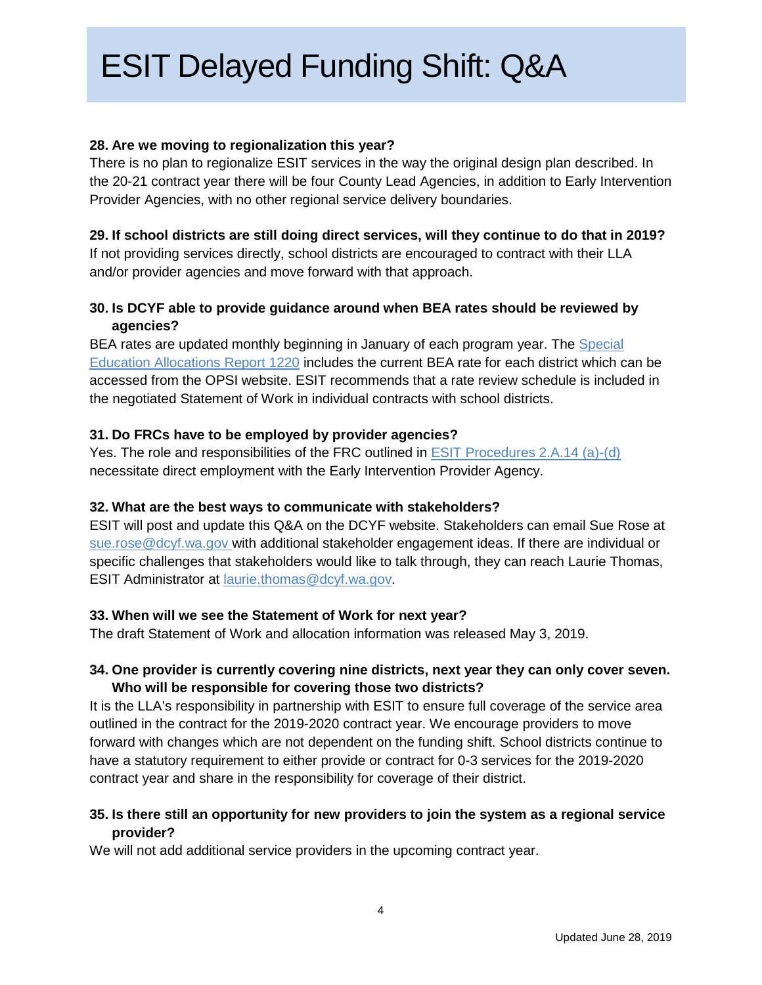#### **28. Are we moving to regionalization this year?**

There is no plan to regionalize ESIT services in the way the original design plan described. In the 20-21 contract year there will be four County Lead Agencies, in addition to Early Intervention Provider Agencies, with no other regional service delivery boundaries.

#### **29. If school districts are still doing direct services, will they continue to do that in 2019?**

If not providing services directly, school districts are encouraged to contract with their LLA and/or provider agencies and move forward with that approach.

## **30. Is DCYF able to provide guidance around when BEA rates should be reviewed by agencies?**

BEA rates are updated monthly beginning in January of each program year. The [Special](http://www.k12.wa.us/safs/Reports.asp)  [Education Allocations Report 1220](http://www.k12.wa.us/safs/Reports.asp) includes the current BEA rate for each district which can be accessed from the OPSI website. ESIT recommends that a rate review schedule is included in the negotiated Statement of Work in individual contracts with school districts.

### **31. Do FRCs have to be employed by provider agencies?**

Yes. The role and responsibilities of the FRC outlined in [ESIT Procedures 2.A.14 \(a\)-\(d\)](https://www.dcyf.wa.gov/sites/default/files/pdf/ESIT-policies-procedures.pdf) necessitate direct employment with the Early Intervention Provider Agency.

#### **32. What are the best ways to communicate with stakeholders?**

ESIT will post and update this Q&A on the DCYF website. Stakeholders can email Sue Rose at [sue.rose@dcyf.wa.gov](mailto:sue.rose@dcyf.wa.gov) with additional stakeholder engagement ideas. If there are individual or specific challenges that stakeholders would like to talk through, they can reach Laurie Thomas, ESIT Administrator at [laurie.thomas@dcyf.wa.gov.](mailto:laurie.thomas@dcyf.wa.gove)

#### **33. When will we see the Statement of Work for next year?**

The draft Statement of Work and allocation information was released May 3, 2019.

## **34. One provider is currently covering nine districts, next year they can only cover seven. Who will be responsible for covering those two districts?**

It is the LLA's responsibility in partnership with ESIT to ensure full coverage of the service area outlined in the contract for the 2019-2020 contract year. We encourage providers to move forward with changes which are not dependent on the funding shift. School districts continue to have a statutory requirement to either provide or contract for 0-3 services for the 2019-2020 contract year and share in the responsibility for coverage of their district.

## **35. Is there still an opportunity for new providers to join the system as a regional service provider?**

We will not add additional service providers in the upcoming contract year.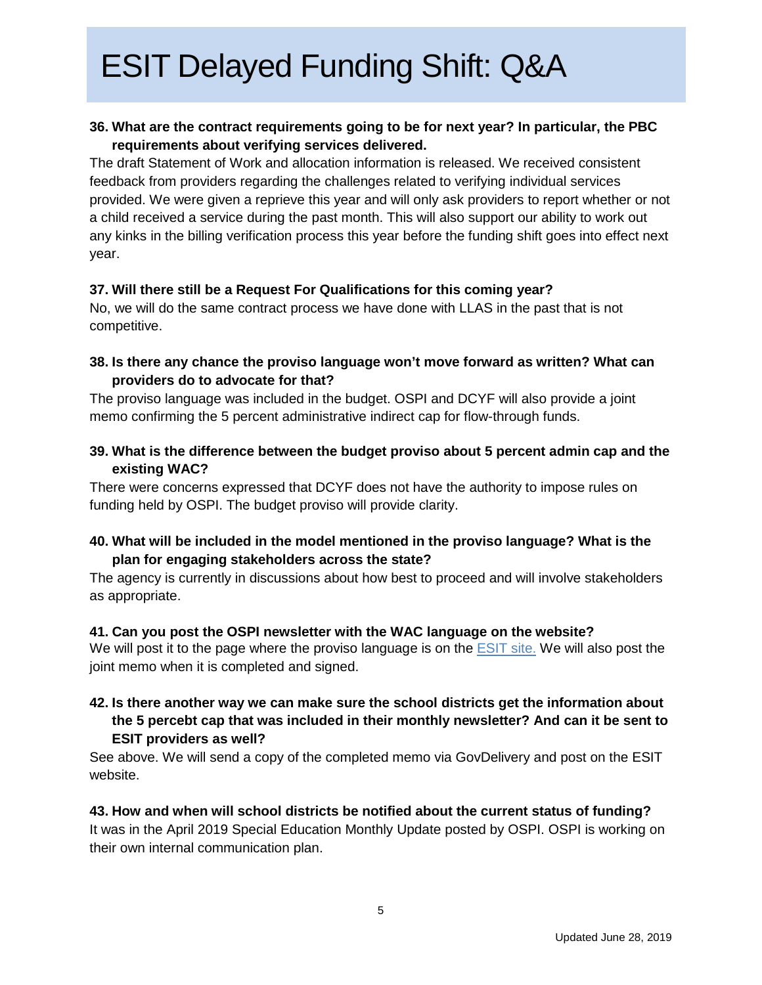## **36. What are the contract requirements going to be for next year? In particular, the PBC requirements about verifying services delivered.**

The draft Statement of Work and allocation information is released. We received consistent feedback from providers regarding the challenges related to verifying individual services provided. We were given a reprieve this year and will only ask providers to report whether or not a child received a service during the past month. This will also support our ability to work out any kinks in the billing verification process this year before the funding shift goes into effect next year.

#### **37. Will there still be a Request For Qualifications for this coming year?**

No, we will do the same contract process we have done with LLAS in the past that is not competitive.

## **38. Is there any chance the proviso language won't move forward as written? What can providers do to advocate for that?**

The proviso language was included in the budget. OSPI and DCYF will also provide a joint memo confirming the 5 percent administrative indirect cap for flow-through funds.

**39. What is the difference between the budget proviso about 5 percent admin cap and the existing WAC?**

There were concerns expressed that DCYF does not have the authority to impose rules on funding held by OSPI. The budget proviso will provide clarity.

### **40. What will be included in the model mentioned in the proviso language? What is the plan for engaging stakeholders across the state?**

The agency is currently in discussions about how best to proceed and will involve stakeholders as appropriate.

#### **41. Can you post the OSPI newsletter with the WAC language on the website?**

We will post it to the page where the proviso language is on the [ESIT site.](https://www.dcyf.wa.gov/sites/default/files/pdf/esit/ESIT_Proviso.pdf) We will also post the joint memo when it is completed and signed.

### **42. Is there another way we can make sure the school districts get the information about the 5 percebt cap that was included in their monthly newsletter? And can it be sent to ESIT providers as well?**

See above. We will send a copy of the completed memo via GovDelivery and post on the ESIT website.

## **43. How and when will school districts be notified about the current status of funding?**

It was in the April 2019 Special Education Monthly Update posted by OSPI. OSPI is working on their own internal communication plan.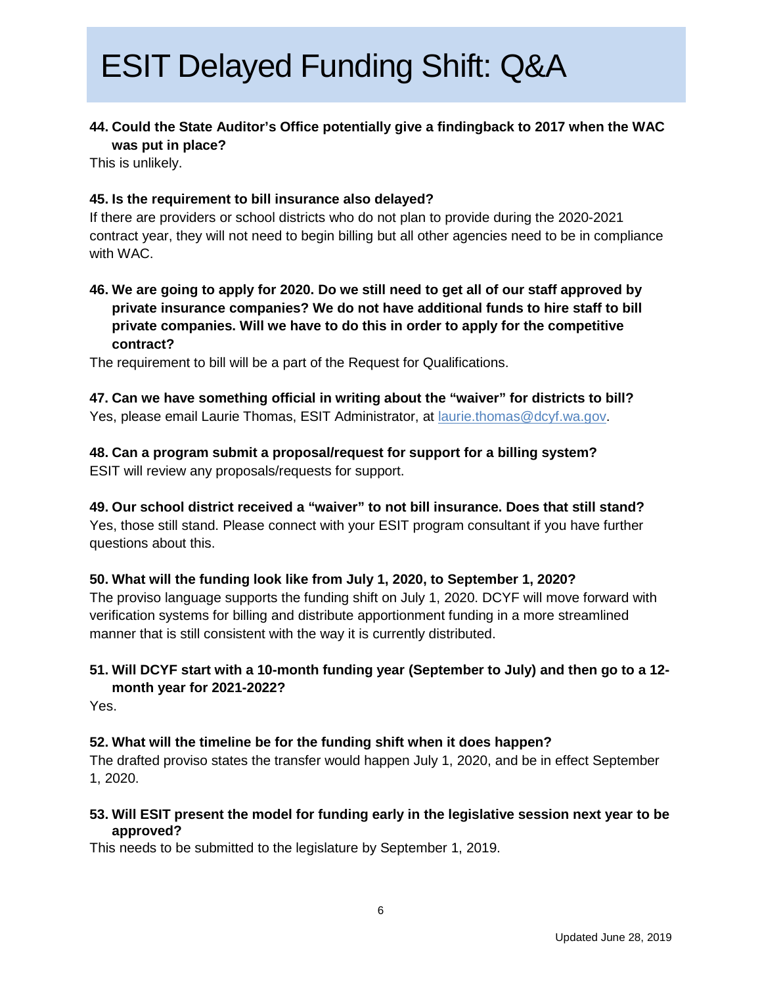### **44. Could the State Auditor's Office potentially give a findingback to 2017 when the WAC was put in place?**

This is unlikely.

#### **45. Is the requirement to bill insurance also delayed?**

If there are providers or school districts who do not plan to provide during the 2020-2021 contract year, they will not need to begin billing but all other agencies need to be in compliance with WAC.

**46. We are going to apply for 2020. Do we still need to get all of our staff approved by private insurance companies? We do not have additional funds to hire staff to bill private companies. Will we have to do this in order to apply for the competitive contract?**

The requirement to bill will be a part of the Request for Qualifications.

**47. Can we have something official in writing about the "waiver" for districts to bill?** Yes, please email Laurie Thomas, ESIT Administrator, at [laurie.thomas@dcyf.wa.gov.](mailto:laurie.thomas@dcyf.wa.gov)

### **48. Can a program submit a proposal/request for support for a billing system?** ESIT will review any proposals/requests for support.

**49. Our school district received a "waiver" to not bill insurance. Does that still stand?** Yes, those still stand. Please connect with your ESIT program consultant if you have further questions about this.

#### **50. What will the funding look like from July 1, 2020, to September 1, 2020?**

The proviso language supports the funding shift on July 1, 2020. DCYF will move forward with verification systems for billing and distribute apportionment funding in a more streamlined manner that is still consistent with the way it is currently distributed.

## **51. Will DCYF start with a 10-month funding year (September to July) and then go to a 12 month year for 2021-2022?**

Yes.

#### **52. What will the timeline be for the funding shift when it does happen?**

The drafted proviso states the transfer would happen July 1, 2020, and be in effect September 1, 2020.

**53. Will ESIT present the model for funding early in the legislative session next year to be approved?** 

This needs to be submitted to the legislature by September 1, 2019.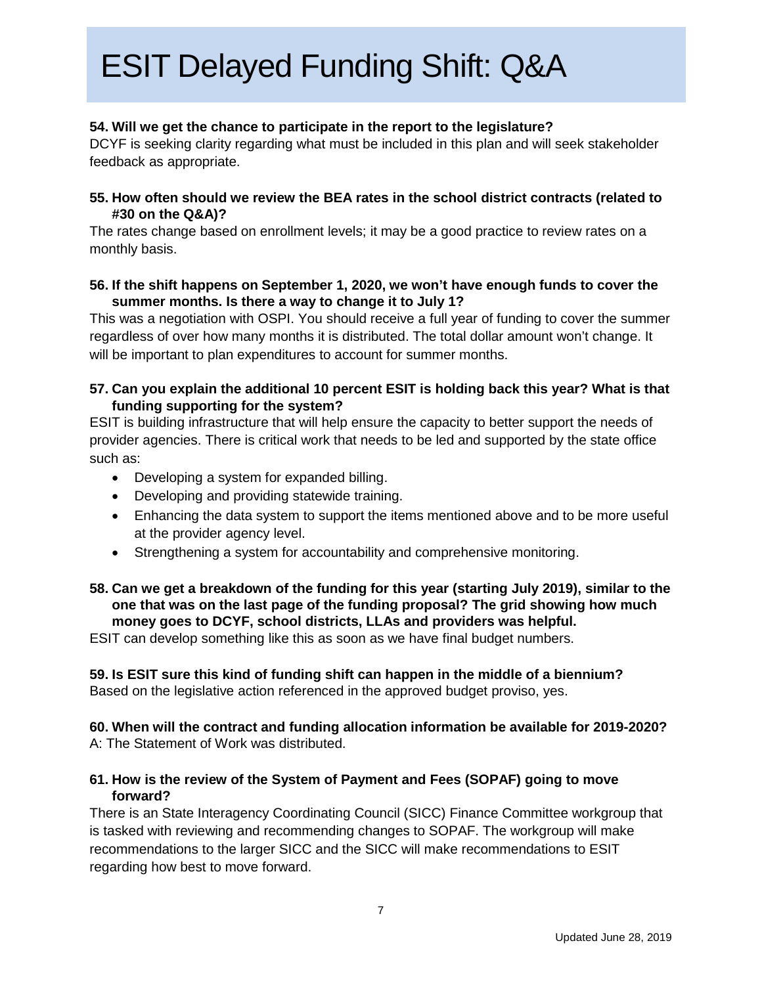### **54. Will we get the chance to participate in the report to the legislature?**

DCYF is seeking clarity regarding what must be included in this plan and will seek stakeholder feedback as appropriate.

#### **55. How often should we review the BEA rates in the school district contracts (related to #30 on the Q&A)?**

The rates change based on enrollment levels; it may be a good practice to review rates on a monthly basis.

#### **56. If the shift happens on September 1, 2020, we won't have enough funds to cover the summer months. Is there a way to change it to July 1?**

This was a negotiation with OSPI. You should receive a full year of funding to cover the summer regardless of over how many months it is distributed. The total dollar amount won't change. It will be important to plan expenditures to account for summer months.

#### **57. Can you explain the additional 10 percent ESIT is holding back this year? What is that funding supporting for the system?**

ESIT is building infrastructure that will help ensure the capacity to better support the needs of provider agencies. There is critical work that needs to be led and supported by the state office such as:

- Developing a system for expanded billing.
- Developing and providing statewide training.
- Enhancing the data system to support the items mentioned above and to be more useful at the provider agency level.
- Strengthening a system for accountability and comprehensive monitoring.

#### **58. Can we get a breakdown of the funding for this year (starting July 2019), similar to the one that was on the last page of the funding proposal? The grid showing how much money goes to DCYF, school districts, LLAs and providers was helpful.**

ESIT can develop something like this as soon as we have final budget numbers.

**59. Is ESIT sure this kind of funding shift can happen in the middle of a biennium?** Based on the legislative action referenced in the approved budget proviso, yes.

**60. When will the contract and funding allocation information be available for 2019-2020?** A: The Statement of Work was distributed.

#### **61. How is the review of the System of Payment and Fees (SOPAF) going to move forward?**

There is an State Interagency Coordinating Council (SICC) Finance Committee workgroup that is tasked with reviewing and recommending changes to SOPAF. The workgroup will make recommendations to the larger SICC and the SICC will make recommendations to ESIT regarding how best to move forward.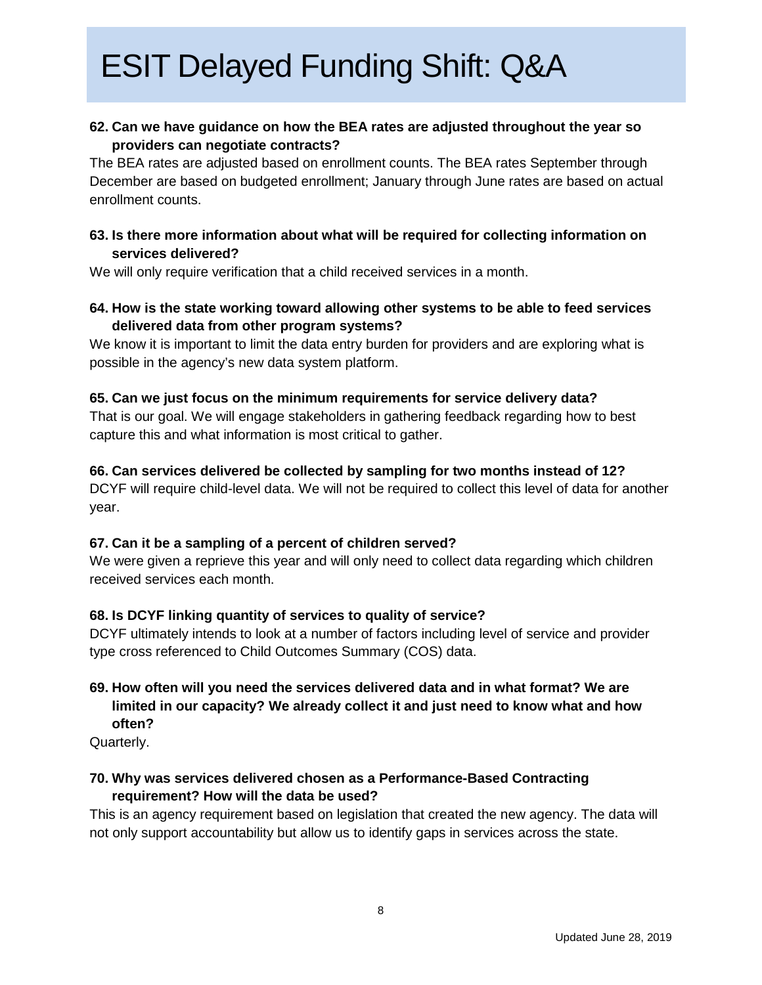### **62. Can we have guidance on how the BEA rates are adjusted throughout the year so providers can negotiate contracts?**

The BEA rates are adjusted based on enrollment counts. The BEA rates September through December are based on budgeted enrollment; January through June rates are based on actual enrollment counts.

### **63. Is there more information about what will be required for collecting information on services delivered?**

We will only require verification that a child received services in a month.

### **64. How is the state working toward allowing other systems to be able to feed services delivered data from other program systems?**

We know it is important to limit the data entry burden for providers and are exploring what is possible in the agency's new data system platform.

#### **65. Can we just focus on the minimum requirements for service delivery data?**

That is our goal. We will engage stakeholders in gathering feedback regarding how to best capture this and what information is most critical to gather.

#### **66. Can services delivered be collected by sampling for two months instead of 12?**

DCYF will require child-level data. We will not be required to collect this level of data for another year.

#### **67. Can it be a sampling of a percent of children served?**

We were given a reprieve this year and will only need to collect data regarding which children received services each month.

#### **68. Is DCYF linking quantity of services to quality of service?**

DCYF ultimately intends to look at a number of factors including level of service and provider type cross referenced to Child Outcomes Summary (COS) data.

## **69. How often will you need the services delivered data and in what format? We are limited in our capacity? We already collect it and just need to know what and how often?**

Quarterly.

## **70. Why was services delivered chosen as a Performance-Based Contracting requirement? How will the data be used?**

This is an agency requirement based on legislation that created the new agency. The data will not only support accountability but allow us to identify gaps in services across the state.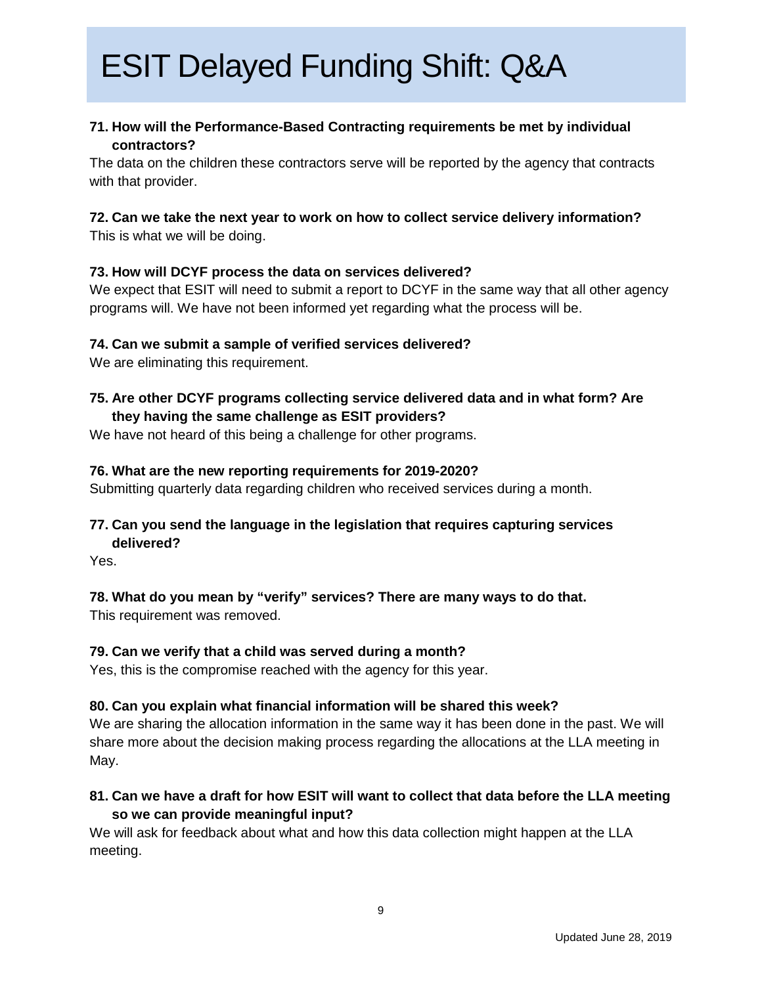### **71. How will the Performance-Based Contracting requirements be met by individual contractors?**

The data on the children these contractors serve will be reported by the agency that contracts with that provider.

### **72. Can we take the next year to work on how to collect service delivery information?**

This is what we will be doing.

### **73. How will DCYF process the data on services delivered?**

We expect that ESIT will need to submit a report to DCYF in the same way that all other agency programs will. We have not been informed yet regarding what the process will be.

### **74. Can we submit a sample of verified services delivered?**

We are eliminating this requirement.

**75. Are other DCYF programs collecting service delivered data and in what form? Are they having the same challenge as ESIT providers?**

We have not heard of this being a challenge for other programs.

### **76. What are the new reporting requirements for 2019-2020?**

Submitting quarterly data regarding children who received services during a month.

### **77. Can you send the language in the legislation that requires capturing services delivered?**

Yes.

## **78. What do you mean by "verify" services? There are many ways to do that.**

This requirement was removed.

## **79. Can we verify that a child was served during a month?**

Yes, this is the compromise reached with the agency for this year.

#### **80. Can you explain what financial information will be shared this week?**

We are sharing the allocation information in the same way it has been done in the past. We will share more about the decision making process regarding the allocations at the LLA meeting in May.

## **81. Can we have a draft for how ESIT will want to collect that data before the LLA meeting so we can provide meaningful input?**

We will ask for feedback about what and how this data collection might happen at the LLA meeting.